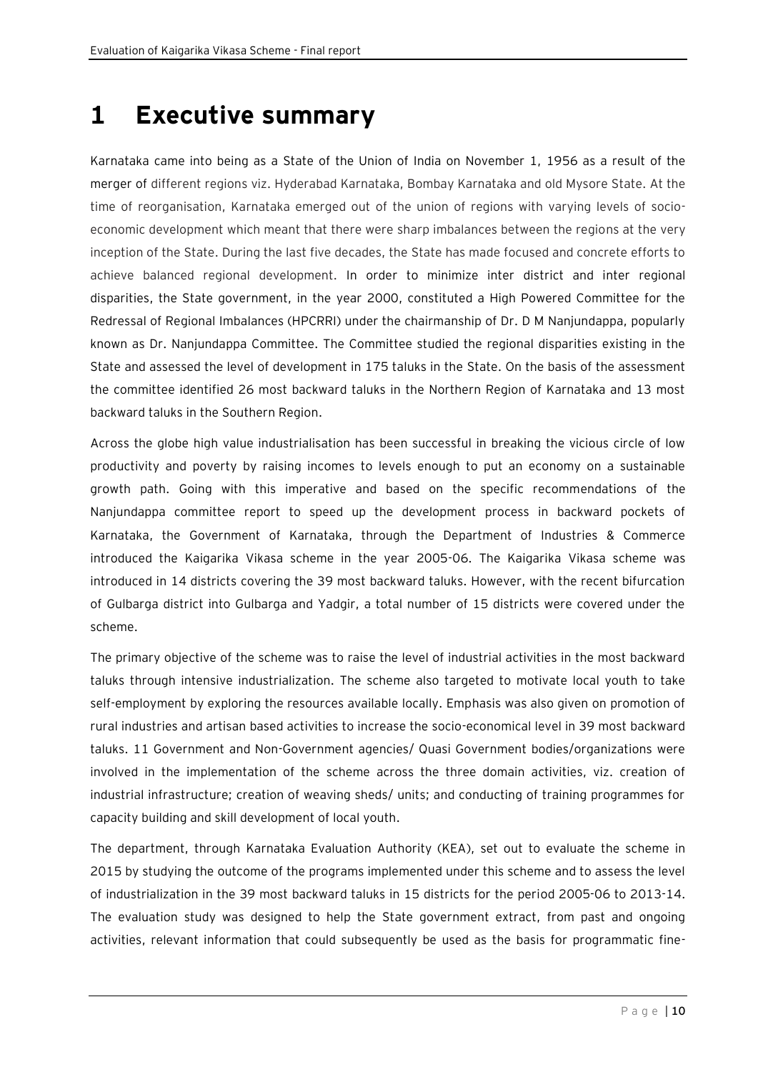## **1 Executive summary**

Karnataka came into being as a State of the Union of India on November 1, 1956 as a result of the merger of different regions viz. Hyderabad Karnataka, Bombay Karnataka and old Mysore State. At the time of reorganisation, Karnataka emerged out of the union of regions with varying levels of socioeconomic development which meant that there were sharp imbalances between the regions at the very inception of the State. During the last five decades, the State has made focused and concrete efforts to achieve balanced regional development. In order to minimize inter district and inter regional disparities, the State government, in the year 2000, constituted a High Powered Committee for the Redressal of Regional Imbalances (HPCRRI) under the chairmanship of Dr. D M Nanjundappa, popularly known as Dr. Nanjundappa Committee. The Committee studied the regional disparities existing in the State and assessed the level of development in 175 taluks in the State. On the basis of the assessment the committee identified 26 most backward taluks in the Northern Region of Karnataka and 13 most backward taluks in the Southern Region.

Across the globe high value industrialisation has been successful in breaking the vicious circle of low productivity and poverty by raising incomes to levels enough to put an economy on a sustainable growth path. Going with this imperative and based on the specific recommendations of the Nanjundappa committee report to speed up the development process in backward pockets of Karnataka, the Government of Karnataka, through the Department of Industries & Commerce introduced the Kaigarika Vikasa scheme in the year 2005-06. The Kaigarika Vikasa scheme was introduced in 14 districts covering the 39 most backward taluks. However, with the recent bifurcation of Gulbarga district into Gulbarga and Yadgir, a total number of 15 districts were covered under the scheme.

The primary objective of the scheme was to raise the level of industrial activities in the most backward taluks through intensive industrialization. The scheme also targeted to motivate local youth to take self-employment by exploring the resources available locally. Emphasis was also given on promotion of rural industries and artisan based activities to increase the socio-economical level in 39 most backward taluks. 11 Government and Non-Government agencies/ Quasi Government bodies/organizations were involved in the implementation of the scheme across the three domain activities, viz. creation of industrial infrastructure; creation of weaving sheds/ units; and conducting of training programmes for capacity building and skill development of local youth.

The department, through Karnataka Evaluation Authority (KEA), set out to evaluate the scheme in 2015 by studying the outcome of the programs implemented under this scheme and to assess the level of industrialization in the 39 most backward taluks in 15 districts for the period 2005-06 to 2013-14. The evaluation study was designed to help the State government extract, from past and ongoing activities, relevant information that could subsequently be used as the basis for programmatic fine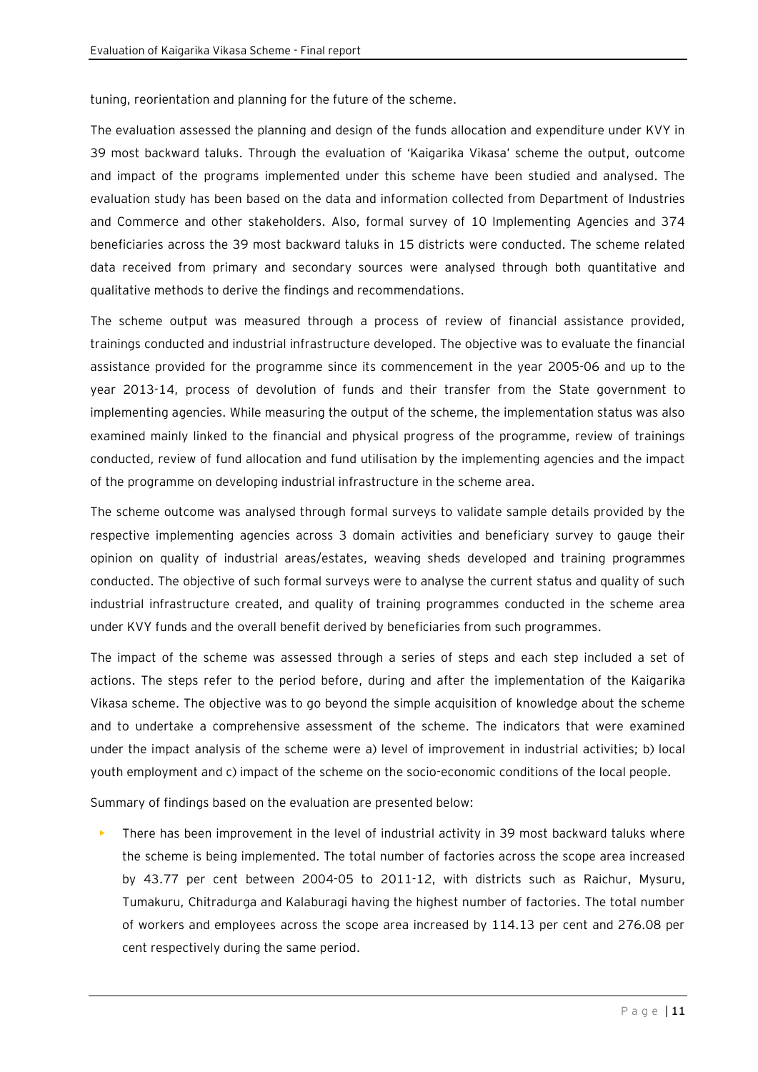tuning, reorientation and planning for the future of the scheme.

The evaluation assessed the planning and design of the funds allocation and expenditure under KVY in 39 most backward taluks. Through the evaluation of 'Kaigarika Vikasa' scheme the output, outcome and impact of the programs implemented under this scheme have been studied and analysed. The evaluation study has been based on the data and information collected from Department of Industries and Commerce and other stakeholders. Also, formal survey of 10 Implementing Agencies and 374 beneficiaries across the 39 most backward taluks in 15 districts were conducted. The scheme related data received from primary and secondary sources were analysed through both quantitative and qualitative methods to derive the findings and recommendations.

The scheme output was measured through a process of review of financial assistance provided, trainings conducted and industrial infrastructure developed. The objective was to evaluate the financial assistance provided for the programme since its commencement in the year 2005-06 and up to the year 2013-14, process of devolution of funds and their transfer from the State government to implementing agencies. While measuring the output of the scheme, the implementation status was also examined mainly linked to the financial and physical progress of the programme, review of trainings conducted, review of fund allocation and fund utilisation by the implementing agencies and the impact of the programme on developing industrial infrastructure in the scheme area.

The scheme outcome was analysed through formal surveys to validate sample details provided by the respective implementing agencies across 3 domain activities and beneficiary survey to gauge their opinion on quality of industrial areas/estates, weaving sheds developed and training programmes conducted. The objective of such formal surveys were to analyse the current status and quality of such industrial infrastructure created, and quality of training programmes conducted in the scheme area under KVY funds and the overall benefit derived by beneficiaries from such programmes.

The impact of the scheme was assessed through a series of steps and each step included a set of actions. The steps refer to the period before, during and after the implementation of the Kaigarika Vikasa scheme. The objective was to go beyond the simple acquisition of knowledge about the scheme and to undertake a comprehensive assessment of the scheme. The indicators that were examined under the impact analysis of the scheme were a) level of improvement in industrial activities; b) local youth employment and c) impact of the scheme on the socio-economic conditions of the local people.

Summary of findings based on the evaluation are presented below:

There has been improvement in the level of industrial activity in 39 most backward taluks where the scheme is being implemented. The total number of factories across the scope area increased by 43.77 per cent between 2004-05 to 2011-12, with districts such as Raichur, Mysuru, Tumakuru, Chitradurga and Kalaburagi having the highest number of factories. The total number of workers and employees across the scope area increased by 114.13 per cent and 276.08 per cent respectively during the same period.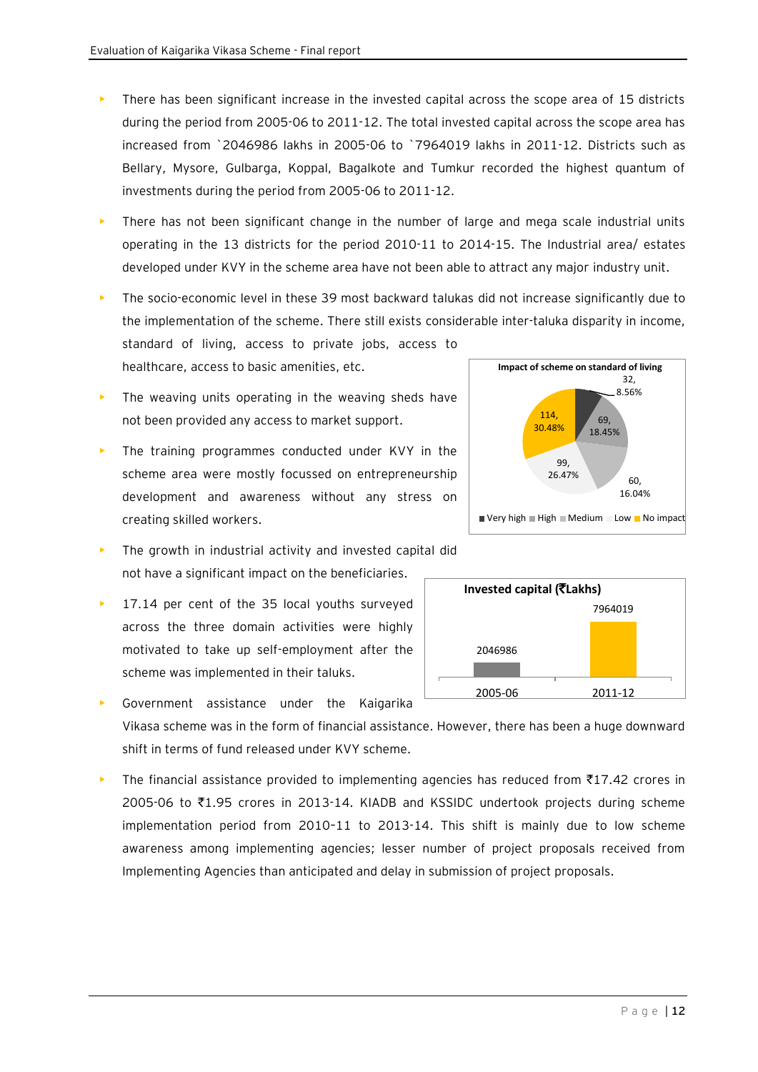- There has been significant increase in the invested capital across the scope area of 15 districts during the period from 2005-06 to 2011-12. The total invested capital across the scope area has increased from `2046986 lakhs in 2005-06 to `7964019 lakhs in 2011-12. Districts such as Bellary, Mysore, Gulbarga, Koppal, Bagalkote and Tumkur recorded the highest quantum of investments during the period from 2005-06 to 2011-12.
- There has not been significant change in the number of large and mega scale industrial units operating in the 13 districts for the period 2010-11 to 2014-15. The Industrial area/ estates developed under KVY in the scheme area have not been able to attract any major industry unit.
- The socio-economic level in these 39 most backward talukas did not increase significantly due to the implementation of the scheme. There still exists considerable inter-taluka disparity in income, standard of living, access to private jobs, access to healthcare, access to basic amenities, etc. **Impact of scheme on standard of living**
- The weaving units operating in the weaving sheds have not been provided any access to market support.
- The training programmes conducted under KVY in the scheme area were mostly focussed on entrepreneurship development and awareness without any stress on creating skilled workers.
- The growth in industrial activity and invested capital did not have a significant impact on the beneficiaries.
- 17.14 per cent of the 35 local youths surveyed across the three domain activities were highly motivated to take up self-employment after the scheme was implemented in their taluks.
- Government assistance under the Kaigarika Vikasa scheme was in the form of financial assistance. However, there has been a huge downward shift in terms of fund released under KVY scheme.
- The financial assistance provided to implementing agencies has reduced from  $\overline{5}17.42$  crores in 2005-06 to  $\overline{\tau}1.95$  crores in 2013-14. KIADB and KSSIDC undertook projects during scheme implementation period from 2010–11 to 2013-14. This shift is mainly due to low scheme awareness among implementing agencies; lesser number of project proposals received from Implementing Agencies than anticipated and delay in submission of project proposals.



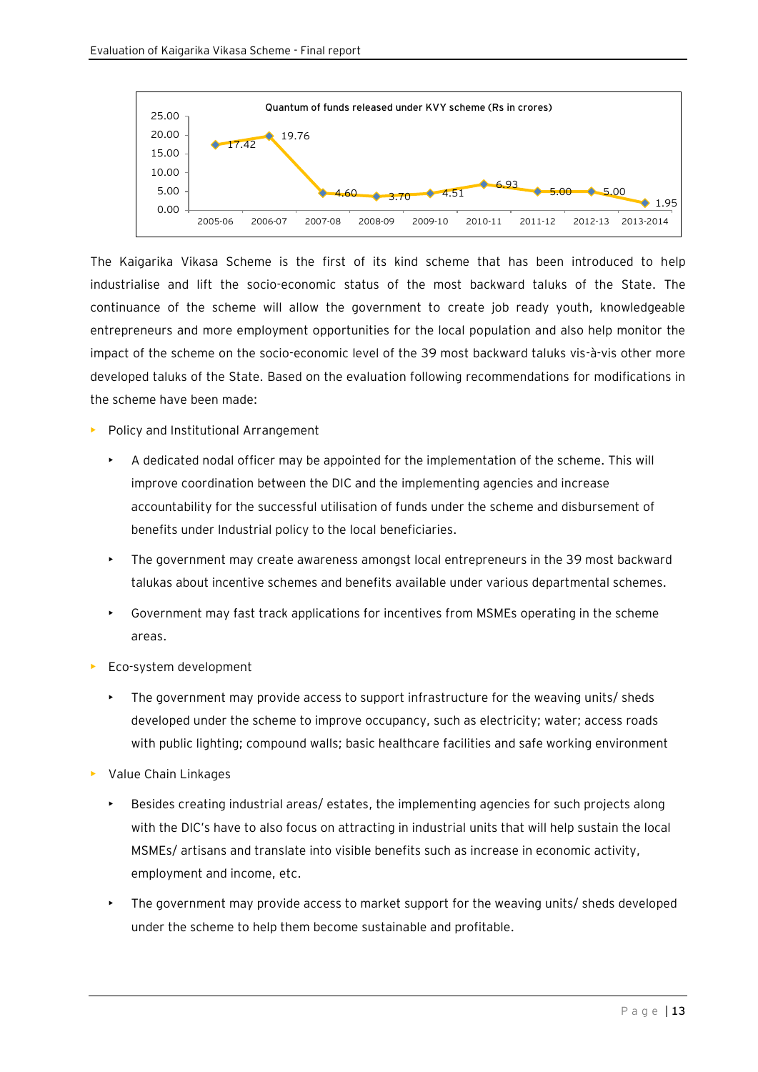

The Kaigarika Vikasa Scheme is the first of its kind scheme that has been introduced to help industrialise and lift the socio-economic status of the most backward taluks of the State. The continuance of the scheme will allow the government to create job ready youth, knowledgeable entrepreneurs and more employment opportunities for the local population and also help monitor the impact of the scheme on the socio-economic level of the 39 most backward taluks vis-à-vis other more developed taluks of the State. Based on the evaluation following recommendations for modifications in the scheme have been made:

- Policy and Institutional Arrangement
	- A dedicated nodal officer may be appointed for the implementation of the scheme. This will improve coordination between the DIC and the implementing agencies and increase accountability for the successful utilisation of funds under the scheme and disbursement of benefits under Industrial policy to the local beneficiaries.
	- The government may create awareness amongst local entrepreneurs in the 39 most backward talukas about incentive schemes and benefits available under various departmental schemes.
	- Government may fast track applications for incentives from MSMEs operating in the scheme areas.
- **Eco-system development** 
	- The government may provide access to support infrastructure for the weaving units/ sheds developed under the scheme to improve occupancy, such as electricity; water; access roads with public lighting; compound walls; basic healthcare facilities and safe working environment
- Value Chain Linkages
	- Besides creating industrial areas/ estates, the implementing agencies for such projects along with the DIC's have to also focus on attracting in industrial units that will help sustain the local MSMEs/ artisans and translate into visible benefits such as increase in economic activity, employment and income, etc.
	- The government may provide access to market support for the weaving units/ sheds developed under the scheme to help them become sustainable and profitable.